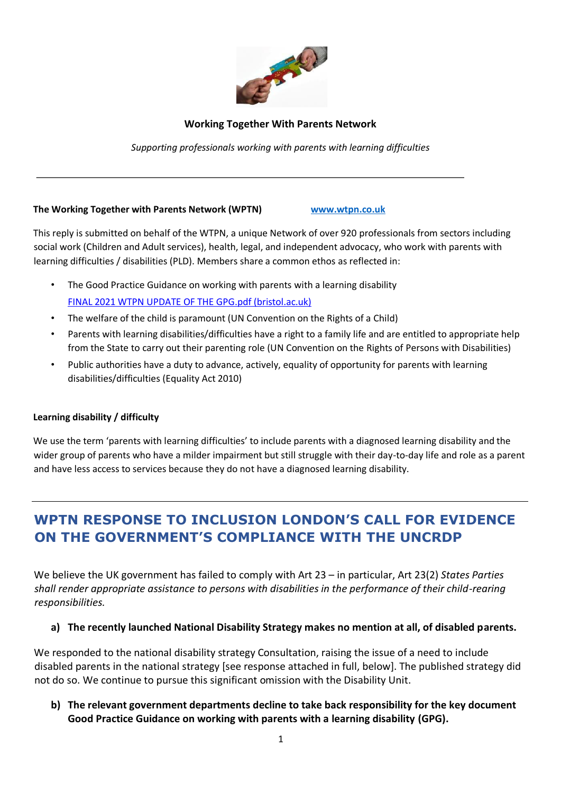

## **Working Together With Parents Network**

*Supporting professionals working with parents with learning difficulties* 

#### **The Working Together with Parents Network (WPTN) [www.wtpn.co.uk](http://www.wtpn.co.uk/)**

This reply is submitted on behalf of the WTPN, a unique Network of over 920 professionals from sectors including social work (Children and Adult services), health, legal, and independent advocacy, who work with parents with learning difficulties / disabilities (PLD). Members share a common ethos as reflected in:

- The Good Practice Guidance on working with parents with a learning disability [FINAL 2021 WTPN UPDATE OF THE GPG.pdf \(bristol.ac.uk\)](http://www.bristol.ac.uk/media-library/sites/sps/documents/wtpn/FINAL%202021%20WTPN%20UPDATE%20OF%20THE%20GPG.pdf)
- The welfare of the child is paramount (UN Convention on the Rights of a Child)
- Parents with learning disabilities/difficulties have a right to a family life and are entitled to appropriate help from the State to carry out their parenting role (UN Convention on the Rights of Persons with Disabilities)
- Public authorities have a duty to advance, actively, equality of opportunity for parents with learning disabilities/difficulties (Equality Act 2010)

## **Learning disability / difficulty**

We use the term 'parents with learning difficulties' to include parents with a diagnosed learning disability and the wider group of parents who have a milder impairment but still struggle with their day-to-day life and role as a parent and have less access to services because they do not have a diagnosed learning disability.

# **WPTN RESPONSE TO INCLUSION LONDON'S CALL FOR EVIDENCE ON THE GOVERNMENT'S COMPLIANCE WITH THE UNCRDP**

We believe the UK government has failed to comply with Art 23 – in particular, Art 23(2) *States Parties shall render appropriate assistance to persons with disabilities in the performance of their child-rearing responsibilities.*

## **a) The recently launched National Disability Strategy makes no mention at all, of disabled parents.**

We responded to the national disability strategy Consultation, raising the issue of a need to include disabled parents in the national strategy [see response attached in full, below]. The published strategy did not do so. We continue to pursue this significant omission with the Disability Unit.

## **b) The relevant government departments decline to take back responsibility for the key document Good Practice Guidance on working with parents with a learning disability (GPG).**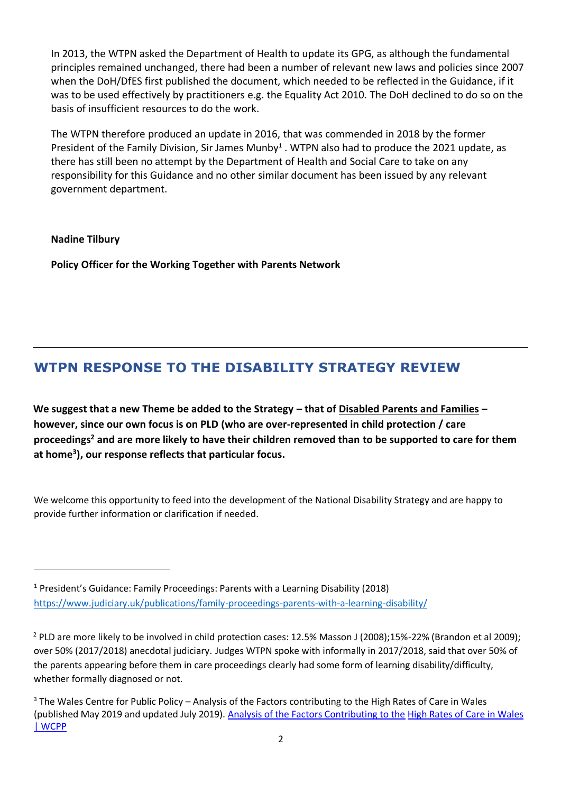In 2013, the WTPN asked the Department of Health to update its GPG, as although the fundamental principles remained unchanged, there had been a number of relevant new laws and policies since 2007 when the DoH/DfES first published the document, which needed to be reflected in the Guidance, if it was to be used effectively by practitioners e.g. the Equality Act 2010. The DoH declined to do so on the basis of insufficient resources to do the work.

The WTPN therefore produced an update in 2016, that was commended in 2018 by the former President of the Family Division, Sir James Munby<sup>1</sup>. WTPN also had to produce the 2021 update, as there has still been no attempt by the Department of Health and Social Care to take on any responsibility for this Guidance and no other similar document has been issued by any relevant government department.

**Nadine Tilbury**

**Policy Officer for the Working Together with Parents Network**

# **WTPN RESPONSE TO THE DISABILITY STRATEGY REVIEW**

**We suggest that a new Theme be added to the Strategy – that of Disabled Parents and Families – however, since our own focus is on PLD (who are over-represented in child protection / care proceedings<sup>2</sup> and are more likely to have their children removed than to be supported to care for them at home<sup>3</sup> ), our response reflects that particular focus.** 

We welcome this opportunity to feed into the development of the National Disability Strategy and are happy to provide further information or clarification if needed.

<sup>1</sup> President's Guidance: Family Proceedings: Parents with a Learning Disability (2018) <https://www.judiciary.uk/publications/family-proceedings-parents-with-a-learning-disability/>

<sup>&</sup>lt;sup>2</sup> PLD are more likely to be involved in child protection cases: 12.5% Masson J (2008);15%-22% (Brandon et al 2009); over 50% (2017/2018) anecdotal judiciary. Judges WTPN spoke with informally in 2017/2018, said that over 50% of the parents appearing before them in care proceedings clearly had some form of learning disability/difficulty, whether formally diagnosed or not.

<sup>&</sup>lt;sup>3</sup> The Wales Centre for Public Policy – Analysis of the Factors contributing to the High Rates of Care in Wales (published May 2019 and updated July 2019). [Analysis of the Factors Contributing to the](https://www.wcpp.org.uk/publication/analysis-of-the-factors-contributing-to-the-high-rates-of-care-in-wales/) [High Rates of Care in Wales](https://www.wcpp.org.uk/publication/analysis-of-the-factors-contributing-to-the-high-rates-of-care-in-wales/)  [| WCPP](https://www.wcpp.org.uk/publication/analysis-of-the-factors-contributing-to-the-high-rates-of-care-in-wales/)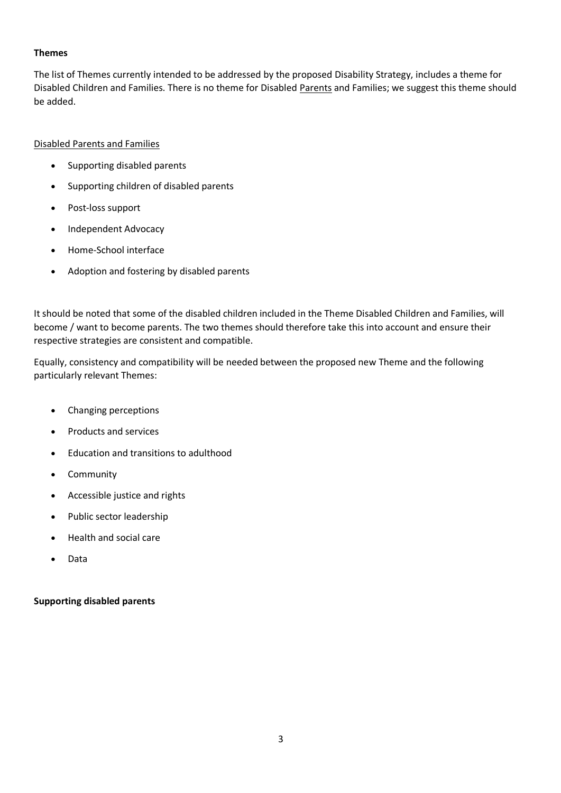#### **Themes**

The list of Themes currently intended to be addressed by the proposed Disability Strategy, includes a theme for Disabled Children and Families. There is no theme for Disabled Parents and Families; we suggest this theme should be added.

## Disabled Parents and Families

- Supporting disabled parents
- Supporting children of disabled parents
- Post-loss support
- Independent Advocacy
- Home-School interface
- Adoption and fostering by disabled parents

It should be noted that some of the disabled children included in the Theme Disabled Children and Families, will become / want to become parents. The two themes should therefore take this into account and ensure their respective strategies are consistent and compatible.

Equally, consistency and compatibility will be needed between the proposed new Theme and the following particularly relevant Themes:

- Changing perceptions
- Products and services
- Education and transitions to adulthood
- Community
- Accessible justice and rights
- Public sector leadership
- Health and social care
- Data

## **Supporting disabled parents**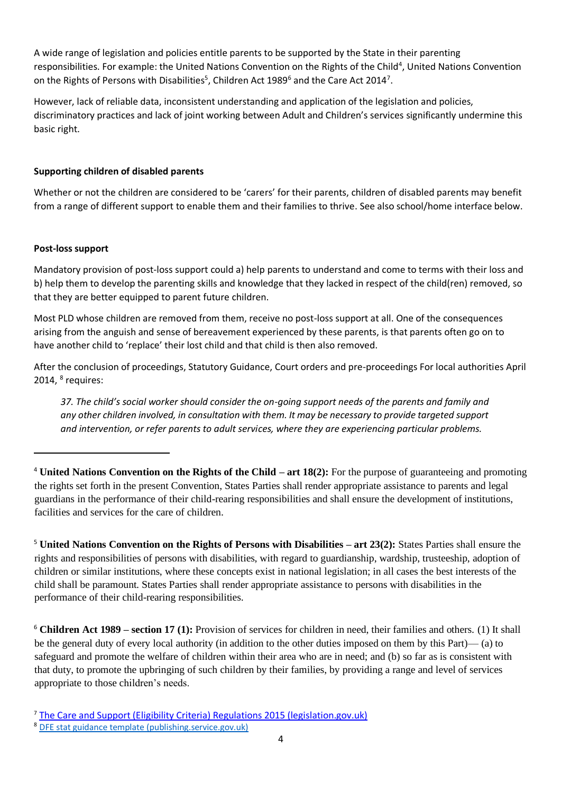A wide range of legislation and policies entitle parents to be supported by the State in their parenting responsibilities. For example: the United Nations Convention on the Rights of the Child<sup>4</sup>, United Nations Convention on the Rights of Persons with Disabilities<sup>5</sup>, Children Act 1989<sup>6</sup> and the Care Act 2014<sup>7</sup>.

However, lack of reliable data, inconsistent understanding and application of the legislation and policies, discriminatory practices and lack of joint working between Adult and Children's services significantly undermine this basic right.

## **Supporting children of disabled parents**

Whether or not the children are considered to be 'carers' for their parents, children of disabled parents may benefit from a range of different support to enable them and their families to thrive. See also school/home interface below.

#### **Post-loss support**

Mandatory provision of post-loss support could a) help parents to understand and come to terms with their loss and b) help them to develop the parenting skills and knowledge that they lacked in respect of the child(ren) removed, so that they are better equipped to parent future children.

Most PLD whose children are removed from them, receive no post-loss support at all. One of the consequences arising from the anguish and sense of bereavement experienced by these parents, is that parents often go on to have another child to 'replace' their lost child and that child is then also removed.

After the conclusion of proceedings, Statutory Guidance, Court orders and pre-proceedings For local authorities April 2014,  $8$  requires:

*37. The child's social worker should consider the on-going support needs of the parents and family and any other children involved, in consultation with them. It may be necessary to provide targeted support and intervention, or refer parents to adult services, where they are experiencing particular problems.*

<sup>4</sup> **United Nations Convention on the Rights of the Child – art 18(2):** For the purpose of guaranteeing and promoting the rights set forth in the present Convention, States Parties shall render appropriate assistance to parents and legal guardians in the performance of their child-rearing responsibilities and shall ensure the development of institutions, facilities and services for the care of children.

<sup>5</sup> **United Nations Convention on the Rights of Persons with Disabilities – art 23(2):** States Parties shall ensure the rights and responsibilities of persons with disabilities, with regard to guardianship, wardship, trusteeship, adoption of children or similar institutions, where these concepts exist in national legislation; in all cases the best interests of the child shall be paramount. States Parties shall render appropriate assistance to persons with disabilities in the performance of their child-rearing responsibilities.

<sup>6</sup> **Children Act 1989 – section 17 (1):** Provision of services for children in need, their families and others. (1) It shall be the general duty of every local authority (in addition to the other duties imposed on them by this Part)— (a) to safeguard and promote the welfare of children within their area who are in need; and (b) so far as is consistent with that duty, to promote the upbringing of such children by their families, by providing a range and level of services appropriate to those children's needs.

<sup>&</sup>lt;sup>7</sup> [The Care and Support \(Eligibility Criteria\) Regulations 2015 \(legislation.gov.uk\)](https://www.legislation.gov.uk/uksi/2015/313/contents/made)

<sup>8</sup> [DFE stat guidance template \(publishing.service.gov.uk\)](https://assets.publishing.service.gov.uk/government/uploads/system/uploads/attachment_data/file/306282/Statutory_guidance_on_court_orders_and_pre-proceedings.pdf)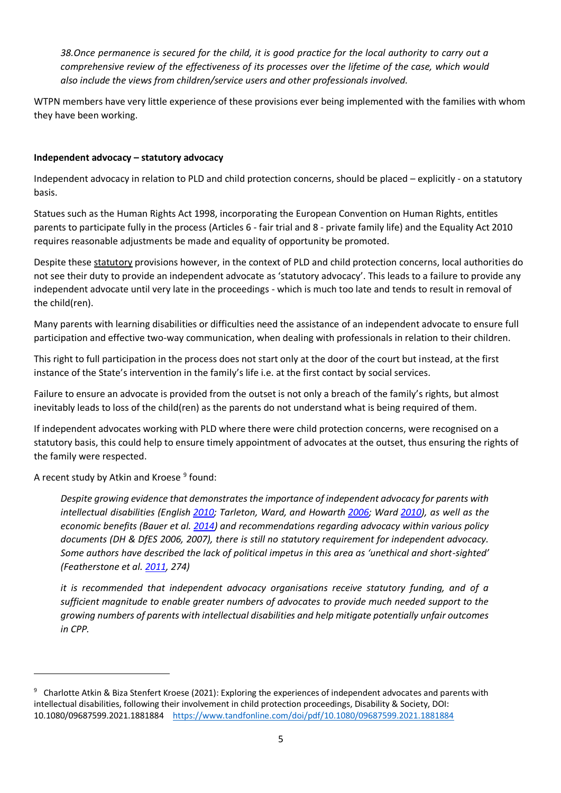*38.Once permanence is secured for the child, it is good practice for the local authority to carry out a comprehensive review of the effectiveness of its processes over the lifetime of the case, which would also include the views from children/service users and other professionals involved.*

WTPN members have very little experience of these provisions ever being implemented with the families with whom they have been working.

#### **Independent advocacy – statutory advocacy**

Independent advocacy in relation to PLD and child protection concerns, should be placed – explicitly - on a statutory basis.

Statues such as the Human Rights Act 1998, incorporating the European Convention on Human Rights, entitles parents to participate fully in the process (Articles 6 - fair trial and 8 - private family life) and the Equality Act 2010 requires reasonable adjustments be made and equality of opportunity be promoted.

Despite these statutory provisions however, in the context of PLD and child protection concerns, local authorities do not see their duty to provide an independent advocate as 'statutory advocacy'. This leads to a failure to provide any independent advocate until very late in the proceedings - which is much too late and tends to result in removal of the child(ren).

Many parents with learning disabilities or difficulties need the assistance of an independent advocate to ensure full participation and effective two-way communication, when dealing with professionals in relation to their children.

This right to full participation in the process does not start only at the door of the court but instead, at the first instance of the State's intervention in the family's life i.e. at the first contact by social services.

Failure to ensure an advocate is provided from the outset is not only a breach of the family's rights, but almost inevitably leads to loss of the child(ren) as the parents do not understand what is being required of them.

If independent advocates working with PLD where there were child protection concerns, were recognised on a statutory basis, this could help to ensure timely appointment of advocates at the outset, thus ensuring the rights of the family were respected.

A recent study by Atkin and Kroese <sup>9</sup> found:

*Despite growing evidence that demonstrates the importance of independent advocacy for parents with intellectual disabilities (English [2010;](https://www.tandfonline.com/eprint/8Y5NUWP2GVHSC6K942XE/full?target=10.1080/09687599.2021.1881884) Tarleton, Ward, and Howarth [2006;](https://www.tandfonline.com/eprint/8Y5NUWP2GVHSC6K942XE/full?target=10.1080/09687599.2021.1881884) Ward [2010\)](https://www.tandfonline.com/eprint/8Y5NUWP2GVHSC6K942XE/full?target=10.1080/09687599.2021.1881884), as well as the economic benefits (Bauer et al. [2014\)](https://www.tandfonline.com/eprint/8Y5NUWP2GVHSC6K942XE/full?target=10.1080/09687599.2021.1881884) and recommendations regarding advocacy within various policy documents (DH & DfES 2006, 2007), there is still no statutory requirement for independent advocacy. Some authors have described the lack of political impetus in this area as 'unethical and short-sighted' (Featherstone et al. [2011,](https://www.tandfonline.com/eprint/8Y5NUWP2GVHSC6K942XE/full?target=10.1080/09687599.2021.1881884) 274)*

*it is recommended that independent advocacy organisations receive statutory funding, and of a sufficient magnitude to enable greater numbers of advocates to provide much needed support to the growing numbers of parents with intellectual disabilities and help mitigate potentially unfair outcomes in CPP.*

<sup>&</sup>lt;sup>9</sup> Charlotte Atkin & Biza Stenfert Kroese (2021): Exploring the experiences of independent advocates and parents with intellectual disabilities, following their involvement in child protection proceedings, Disability & Society, DOI: 10.1080/09687599.2021.1881884 <https://www.tandfonline.com/doi/pdf/10.1080/09687599.2021.1881884>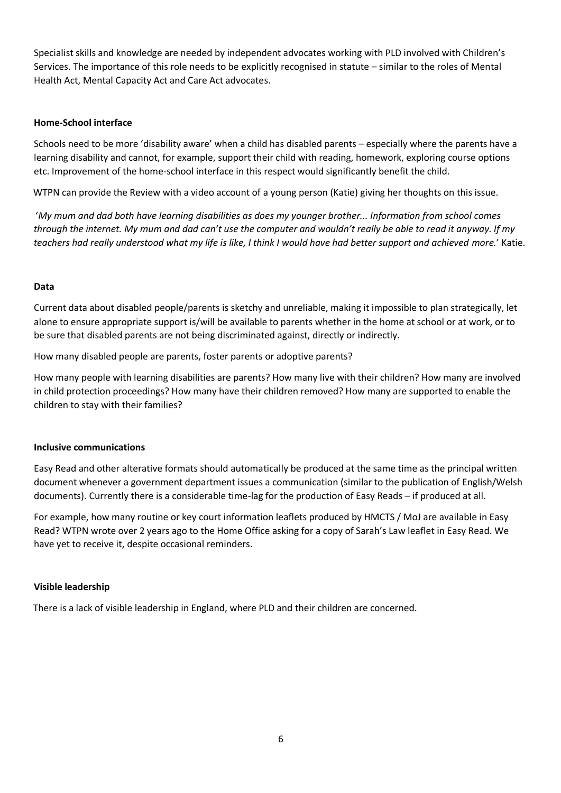Specialist skills and knowledge are needed by independent advocates working with PLD involved with Children's Services. The importance of this role needs to be explicitly recognised in statute – similar to the roles of Mental Health Act, Mental Capacity Act and Care Act advocates.

#### **Home-School interface**

Schools need to be more 'disability aware' when a child has disabled parents – especially where the parents have a learning disability and cannot, for example, support their child with reading, homework, exploring course options etc. Improvement of the home-school interface in this respect would significantly benefit the child.

WTPN can provide the Review with a video account of a young person (Katie) giving her thoughts on this issue.

'*My mum and dad both have learning disabilities as does my younger brother... Information from school comes through the internet. My mum and dad can't use the computer and wouldn't really be able to read it anyway. If my teachers had really understood what my life is like, I think I would have had better support and achieved more.*' Katie.

#### **Data**

Current data about disabled people/parents is sketchy and unreliable, making it impossible to plan strategically, let alone to ensure appropriate support is/will be available to parents whether in the home at school or at work, or to be sure that disabled parents are not being discriminated against, directly or indirectly.

How many disabled people are parents, foster parents or adoptive parents?

How many people with learning disabilities are parents? How many live with their children? How many are involved in child protection proceedings? How many have their children removed? How many are supported to enable the children to stay with their families?

#### **Inclusive communications**

Easy Read and other alterative formats should automatically be produced at the same time as the principal written document whenever a government department issues a communication (similar to the publication of English/Welsh documents). Currently there is a considerable time-lag for the production of Easy Reads – if produced at all.

For example, how many routine or key court information leaflets produced by HMCTS / MoJ are available in Easy Read? WTPN wrote over 2 years ago to the Home Office asking for a copy of Sarah's Law leaflet in Easy Read. We have yet to receive it, despite occasional reminders.

#### **Visible leadership**

There is a lack of visible leadership in England, where PLD and their children are concerned.